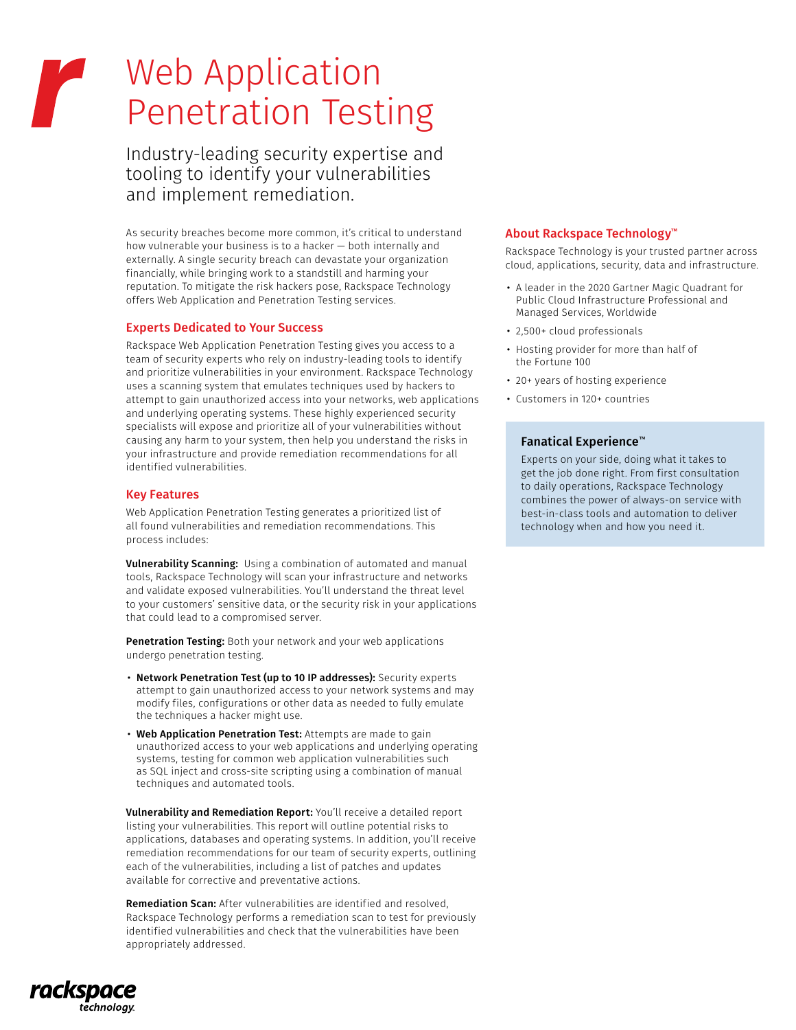# Web Application **Penetration Testing**

Industry-leading security expertise and tooling to identify your vulnerabilities and implement remediation.

As security breaches become more common, it's critical to understand how vulnerable your business is to a hacker — both internally and externally. A single security breach can devastate your organization financially, while bringing work to a standstill and harming your reputation. To mitigate the risk hackers pose, Rackspace Technology offers Web Application and Penetration Testing services.

#### Experts Dedicated to Your Success

Rackspace Web Application Penetration Testing gives you access to a team of security experts who rely on industry-leading tools to identify and prioritize vulnerabilities in your environment. Rackspace Technology uses a scanning system that emulates techniques used by hackers to attempt to gain unauthorized access into your networks, web applications and underlying operating systems. These highly experienced security specialists will expose and prioritize all of your vulnerabilities without causing any harm to your system, then help you understand the risks in your infrastructure and provide remediation recommendations for all identified vulnerabilities.

#### Key Features

Web Application Penetration Testing generates a prioritized list of all found vulnerabilities and remediation recommendations. This process includes:

Vulnerability Scanning: Using a combination of automated and manual tools, Rackspace Technology will scan your infrastructure and networks and validate exposed vulnerabilities. You'll understand the threat level to your customers' sensitive data, or the security risk in your applications that could lead to a compromised server.

Penetration Testing: Both your network and your web applications undergo penetration testing.

- Network Penetration Test (up to 10 IP addresses): Security experts attempt to gain unauthorized access to your network systems and may modify files, configurations or other data as needed to fully emulate the techniques a hacker might use.
- Web Application Penetration Test: Attempts are made to gain unauthorized access to your web applications and underlying operating systems, testing for common web application vulnerabilities such as SQL inject and cross-site scripting using a combination of manual techniques and automated tools.

Vulnerability and Remediation Report: You'll receive a detailed report listing your vulnerabilities. This report will outline potential risks to applications, databases and operating systems. In addition, you'll receive remediation recommendations for our team of security experts, outlining each of the vulnerabilities, including a list of patches and updates available for corrective and preventative actions.

Remediation Scan: After vulnerabilities are identified and resolved, Rackspace Technology performs a remediation scan to test for previously identified vulnerabilities and check that the vulnerabilities have been appropriately addressed.

# rackspa technology

#### About Rackspace Technology™

Rackspace Technology is your trusted partner across cloud, applications, security, data and infrastructure.

- A leader in the 2020 Gartner Magic Quadrant for Public Cloud Infrastructure Professional and Managed Services, Worldwide
- 2,500+ cloud professionals
- Hosting provider for more than half of the Fortune 100
- 20+ years of hosting experience
- Customers in 120+ countries

### Fanatical Experience™

Experts on your side, doing what it takes to get the job done right. From first consultation to daily operations, Rackspace Technology combines the power of always-on service with best-in-class tools and automation to deliver technology when and how you need it.